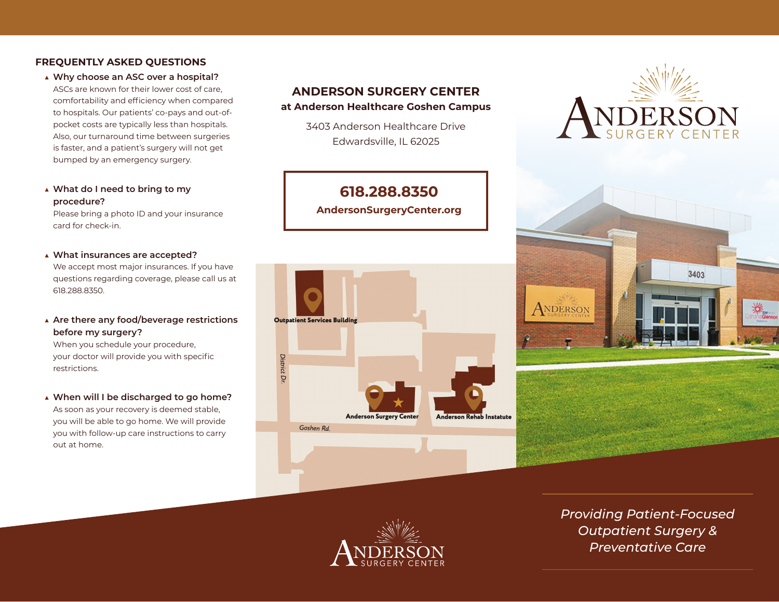## **FREQUENTLY ASKED QUESTIONS**

**▲ Why choose an ASC over a hospital?**

ASCs are known for their lower cost of care, comfortability and efficiency when compared to hospitals. Our patients' co-pays and out-ofpocket costs are typically less than hospitals. Also, our turnaround time between surgeries is faster, and a patient's surgery will not get bumped by an emergency surgery.

**▲ What do I need to bring to my procedure?** 

Please bring a photo ID and your insurance card for check-in.

**▲ What insurances are accepted?** 

We accept most major insurances. If you have questions regarding coverage, please call us at 618.288.8350.

**▲ Are there any food/beverage restrictions before my surgery?**

When you schedule your procedure, your doctor will provide you with specific restrictions.

**▲ When will I be discharged to go home?**  As soon as your recovery is deemed stable, you will be able to go home. We will provide you with follow-up care instructions to carry out at home.

# **ANDERSON SURGERY CENTER at Anderson Healthcare Goshen Campus**

3403 Anderson Healthcare Drive Edwardsville, IL 62025

**618.288.8350 AndersonSurgeryCenter.org**









*Providing Patient-Focused Outpatient Surgery & Preventative Care*